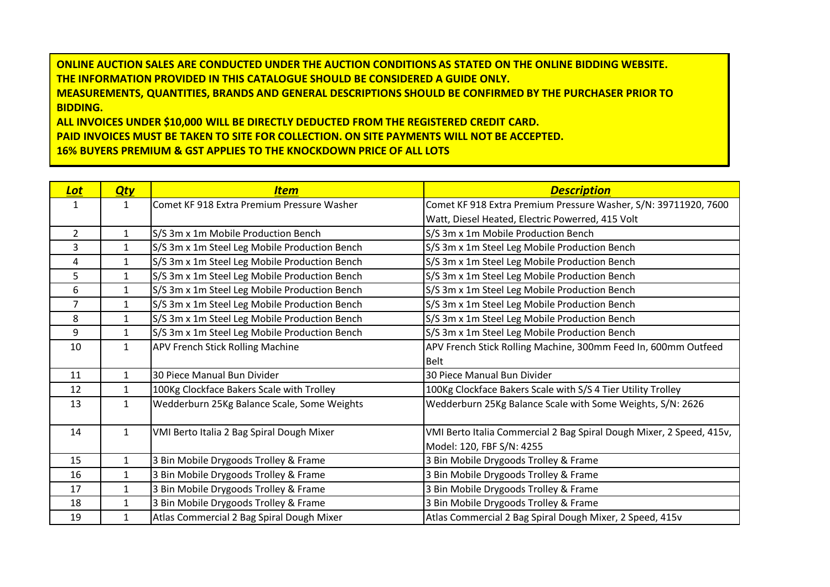**ONLINE AUCTION SALES ARE CONDUCTED UNDER THE AUCTION CONDITIONS AS STATED ON THE ONLINE BIDDING WEBSITE. THE INFORMATION PROVIDED IN THIS CATALOGUE SHOULD BE CONSIDERED A GUIDE ONLY. MEASUREMENTS, QUANTITIES, BRANDS AND GENERAL DESCRIPTIONS SHOULD BE CONFIRMED BY THE PURCHASER PRIOR TO BIDDING. ALL INVOICES UNDER \$10,000 WILL BE DIRECTLY DEDUCTED FROM THE REGISTERED CREDIT CARD.**

**PAID INVOICES MUST BE TAKEN TO SITE FOR COLLECTION. ON SITE PAYMENTS WILL NOT BE ACCEPTED.**

**16% BUYERS PREMIUM & GST APPLIES TO THE KNOCKDOWN PRICE OF ALL LOTS**

| <b>Lot</b>     | <u>Qty</u>   | <u>Item</u>                                   | <b>Description</b>                                                   |
|----------------|--------------|-----------------------------------------------|----------------------------------------------------------------------|
| 1              | 1            | Comet KF 918 Extra Premium Pressure Washer    | Comet KF 918 Extra Premium Pressure Washer, S/N: 39711920, 7600      |
|                |              |                                               | Watt, Diesel Heated, Electric Powerred, 415 Volt                     |
| $\overline{2}$ | $\mathbf{1}$ | S/S 3m x 1m Mobile Production Bench           | S/S 3m x 1m Mobile Production Bench                                  |
| 3              | $\mathbf{1}$ | S/S 3m x 1m Steel Leg Mobile Production Bench | S/S 3m x 1m Steel Leg Mobile Production Bench                        |
| 4              | 1            | S/S 3m x 1m Steel Leg Mobile Production Bench | S/S 3m x 1m Steel Leg Mobile Production Bench                        |
| 5              | $\mathbf{1}$ | S/S 3m x 1m Steel Leg Mobile Production Bench | S/S 3m x 1m Steel Leg Mobile Production Bench                        |
| 6              | 1            | S/S 3m x 1m Steel Leg Mobile Production Bench | S/S 3m x 1m Steel Leg Mobile Production Bench                        |
| $\overline{7}$ | $\mathbf{1}$ | S/S 3m x 1m Steel Leg Mobile Production Bench | S/S 3m x 1m Steel Leg Mobile Production Bench                        |
| 8              | 1            | S/S 3m x 1m Steel Leg Mobile Production Bench | S/S 3m x 1m Steel Leg Mobile Production Bench                        |
| 9              | $\mathbf{1}$ | S/S 3m x 1m Steel Leg Mobile Production Bench | S/S 3m x 1m Steel Leg Mobile Production Bench                        |
| 10             | $\mathbf{1}$ | <b>APV French Stick Rolling Machine</b>       | APV French Stick Rolling Machine, 300mm Feed In, 600mm Outfeed       |
|                |              |                                               | <b>Belt</b>                                                          |
| 11             | $\mathbf{1}$ | 30 Piece Manual Bun Divider                   | 30 Piece Manual Bun Divider                                          |
| 12             | $\mathbf{1}$ | 100Kg Clockface Bakers Scale with Trolley     | 100Kg Clockface Bakers Scale with S/S 4 Tier Utility Trolley         |
| 13             | $\mathbf{1}$ | Wedderburn 25Kg Balance Scale, Some Weights   | Wedderburn 25Kg Balance Scale with Some Weights, S/N: 2626           |
|                |              |                                               |                                                                      |
| 14             | $\mathbf{1}$ | VMI Berto Italia 2 Bag Spiral Dough Mixer     | VMI Berto Italia Commercial 2 Bag Spiral Dough Mixer, 2 Speed, 415v, |
|                |              |                                               | Model: 120, FBF S/N: 4255                                            |
| 15             | $\mathbf{1}$ | 3 Bin Mobile Drygoods Trolley & Frame         | 3 Bin Mobile Drygoods Trolley & Frame                                |
| 16             | 1            | 3 Bin Mobile Drygoods Trolley & Frame         | 3 Bin Mobile Drygoods Trolley & Frame                                |
| 17             | 1            | 3 Bin Mobile Drygoods Trolley & Frame         | 3 Bin Mobile Drygoods Trolley & Frame                                |
| 18             | $\mathbf 1$  | 3 Bin Mobile Drygoods Trolley & Frame         | 3 Bin Mobile Drygoods Trolley & Frame                                |
| 19             | 1            | Atlas Commercial 2 Bag Spiral Dough Mixer     | Atlas Commercial 2 Bag Spiral Dough Mixer, 2 Speed, 415v             |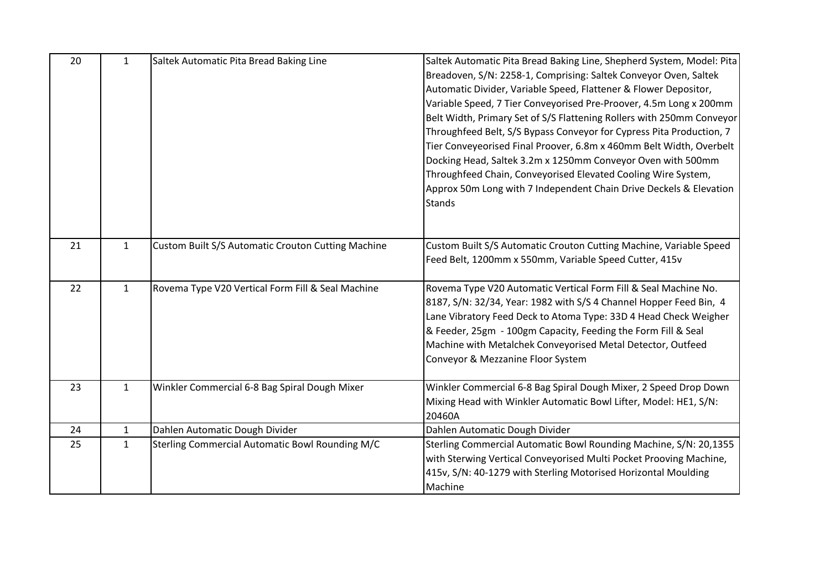| 20 | $\mathbf{1}$ | Saltek Automatic Pita Bread Baking Line            | Saltek Automatic Pita Bread Baking Line, Shepherd System, Model: Pita<br>Breadoven, S/N: 2258-1, Comprising: Saltek Conveyor Oven, Saltek<br>Automatic Divider, Variable Speed, Flattener & Flower Depositor,<br>Variable Speed, 7 Tier Conveyorised Pre-Proover, 4.5m Long x 200mm<br>Belt Width, Primary Set of S/S Flattening Rollers with 250mm Conveyor<br>Throughfeed Belt, S/S Bypass Conveyor for Cypress Pita Production, 7<br>Tier Conveyeorised Final Proover, 6.8m x 460mm Belt Width, Overbelt<br>Docking Head, Saltek 3.2m x 1250mm Conveyor Oven with 500mm<br>Throughfeed Chain, Conveyorised Elevated Cooling Wire System,<br>Approx 50m Long with 7 Independent Chain Drive Deckels & Elevation<br><b>Stands</b> |
|----|--------------|----------------------------------------------------|------------------------------------------------------------------------------------------------------------------------------------------------------------------------------------------------------------------------------------------------------------------------------------------------------------------------------------------------------------------------------------------------------------------------------------------------------------------------------------------------------------------------------------------------------------------------------------------------------------------------------------------------------------------------------------------------------------------------------------|
| 21 | $\mathbf{1}$ | Custom Built S/S Automatic Crouton Cutting Machine | Custom Built S/S Automatic Crouton Cutting Machine, Variable Speed<br>Feed Belt, 1200mm x 550mm, Variable Speed Cutter, 415v                                                                                                                                                                                                                                                                                                                                                                                                                                                                                                                                                                                                       |
| 22 | $\mathbf{1}$ | Rovema Type V20 Vertical Form Fill & Seal Machine  | Rovema Type V20 Automatic Vertical Form Fill & Seal Machine No.<br>8187, S/N: 32/34, Year: 1982 with S/S 4 Channel Hopper Feed Bin, 4<br>Lane Vibratory Feed Deck to Atoma Type: 33D 4 Head Check Weigher<br>& Feeder, 25gm - 100gm Capacity, Feeding the Form Fill & Seal<br>Machine with Metalchek Conveyorised Metal Detector, Outfeed<br>Conveyor & Mezzanine Floor System                                                                                                                                                                                                                                                                                                                                                     |
| 23 | $\mathbf{1}$ | Winkler Commercial 6-8 Bag Spiral Dough Mixer      | Winkler Commercial 6-8 Bag Spiral Dough Mixer, 2 Speed Drop Down<br>Mixing Head with Winkler Automatic Bowl Lifter, Model: HE1, S/N:<br>20460A                                                                                                                                                                                                                                                                                                                                                                                                                                                                                                                                                                                     |
| 24 | $\mathbf{1}$ | Dahlen Automatic Dough Divider                     | Dahlen Automatic Dough Divider                                                                                                                                                                                                                                                                                                                                                                                                                                                                                                                                                                                                                                                                                                     |
| 25 | $\mathbf{1}$ | Sterling Commercial Automatic Bowl Rounding M/C    | Sterling Commercial Automatic Bowl Rounding Machine, S/N: 20,1355<br>with Sterwing Vertical Conveyorised Multi Pocket Prooving Machine,<br>415v, S/N: 40-1279 with Sterling Motorised Horizontal Moulding<br>Machine                                                                                                                                                                                                                                                                                                                                                                                                                                                                                                               |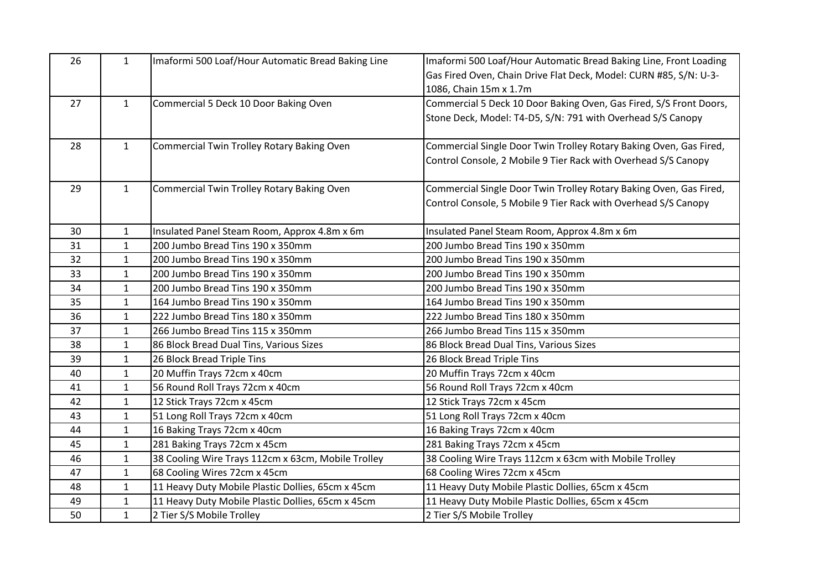| 26 | $\mathbf{1}$ | Imaformi 500 Loaf/Hour Automatic Bread Baking Line | Imaformi 500 Loaf/Hour Automatic Bread Baking Line, Front Loading  |
|----|--------------|----------------------------------------------------|--------------------------------------------------------------------|
|    |              |                                                    | Gas Fired Oven, Chain Drive Flat Deck, Model: CURN #85, S/N: U-3-  |
|    |              |                                                    | 1086, Chain 15m x 1.7m                                             |
| 27 | $\mathbf{1}$ | Commercial 5 Deck 10 Door Baking Oven              | Commercial 5 Deck 10 Door Baking Oven, Gas Fired, S/S Front Doors, |
|    |              |                                                    | Stone Deck, Model: T4-D5, S/N: 791 with Overhead S/S Canopy        |
|    |              |                                                    |                                                                    |
| 28 | $\mathbf{1}$ | Commercial Twin Trolley Rotary Baking Oven         | Commercial Single Door Twin Trolley Rotary Baking Oven, Gas Fired, |
|    |              |                                                    | Control Console, 2 Mobile 9 Tier Rack with Overhead S/S Canopy     |
|    |              |                                                    |                                                                    |
| 29 | $\mathbf{1}$ | Commercial Twin Trolley Rotary Baking Oven         | Commercial Single Door Twin Trolley Rotary Baking Oven, Gas Fired, |
|    |              |                                                    | Control Console, 5 Mobile 9 Tier Rack with Overhead S/S Canopy     |
|    |              |                                                    |                                                                    |
| 30 | $\mathbf{1}$ | Insulated Panel Steam Room, Approx 4.8m x 6m       | Insulated Panel Steam Room, Approx 4.8m x 6m                       |
| 31 | $\mathbf{1}$ | 200 Jumbo Bread Tins 190 x 350mm                   | 200 Jumbo Bread Tins 190 x 350mm                                   |
| 32 | $\mathbf{1}$ | 200 Jumbo Bread Tins 190 x 350mm                   | 200 Jumbo Bread Tins 190 x 350mm                                   |
| 33 | $\mathbf{1}$ | 200 Jumbo Bread Tins 190 x 350mm                   | 200 Jumbo Bread Tins 190 x 350mm                                   |
| 34 | $\mathbf{1}$ | 200 Jumbo Bread Tins 190 x 350mm                   | 200 Jumbo Bread Tins 190 x 350mm                                   |
| 35 | $\mathbf{1}$ | 164 Jumbo Bread Tins 190 x 350mm                   | 164 Jumbo Bread Tins 190 x 350mm                                   |
| 36 | $\mathbf{1}$ | 222 Jumbo Bread Tins 180 x 350mm                   | 222 Jumbo Bread Tins 180 x 350mm                                   |
| 37 | $\mathbf{1}$ | 266 Jumbo Bread Tins 115 x 350mm                   | 266 Jumbo Bread Tins 115 x 350mm                                   |
| 38 | $\mathbf{1}$ | 86 Block Bread Dual Tins, Various Sizes            | 86 Block Bread Dual Tins, Various Sizes                            |
| 39 | $\mathbf{1}$ | 26 Block Bread Triple Tins                         | 26 Block Bread Triple Tins                                         |
| 40 | $\mathbf{1}$ | 20 Muffin Trays 72cm x 40cm                        | 20 Muffin Trays 72cm x 40cm                                        |
| 41 | $\mathbf{1}$ | 56 Round Roll Trays 72cm x 40cm                    | 56 Round Roll Trays 72cm x 40cm                                    |
| 42 | $\mathbf{1}$ | 12 Stick Trays 72cm x 45cm                         | 12 Stick Trays 72cm x 45cm                                         |
| 43 | $\mathbf{1}$ | 51 Long Roll Trays 72cm x 40cm                     | 51 Long Roll Trays 72cm x 40cm                                     |
| 44 | $\mathbf{1}$ | 16 Baking Trays 72cm x 40cm                        | 16 Baking Trays 72cm x 40cm                                        |
| 45 | $\mathbf{1}$ | 281 Baking Trays 72cm x 45cm                       | 281 Baking Trays 72cm x 45cm                                       |
| 46 | $\mathbf{1}$ | 38 Cooling Wire Trays 112cm x 63cm, Mobile Trolley | 38 Cooling Wire Trays 112cm x 63cm with Mobile Trolley             |
| 47 | $\mathbf{1}$ | 68 Cooling Wires 72cm x 45cm                       | 68 Cooling Wires 72cm x 45cm                                       |
| 48 | $\mathbf{1}$ | 11 Heavy Duty Mobile Plastic Dollies, 65cm x 45cm  | 11 Heavy Duty Mobile Plastic Dollies, 65cm x 45cm                  |
| 49 | $\mathbf{1}$ | 11 Heavy Duty Mobile Plastic Dollies, 65cm x 45cm  | 11 Heavy Duty Mobile Plastic Dollies, 65cm x 45cm                  |
| 50 | $\mathbf{1}$ | 2 Tier S/S Mobile Trolley                          | 2 Tier S/S Mobile Trolley                                          |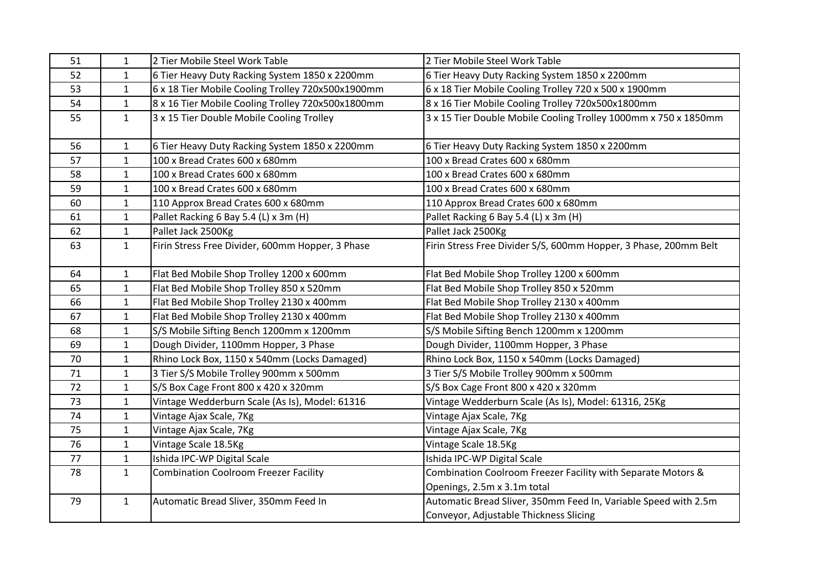| 51 | $\mathbf{1}$ | 2 Tier Mobile Steel Work Table                    | 2 Tier Mobile Steel Work Table                                   |
|----|--------------|---------------------------------------------------|------------------------------------------------------------------|
| 52 | $\mathbf{1}$ | 6 Tier Heavy Duty Racking System 1850 x 2200mm    | 6 Tier Heavy Duty Racking System 1850 x 2200mm                   |
| 53 | 1            | 6 x 18 Tier Mobile Cooling Trolley 720x500x1900mm | 6 x 18 Tier Mobile Cooling Trolley 720 x 500 x 1900mm            |
| 54 | $\mathbf{1}$ | 8 x 16 Tier Mobile Cooling Trolley 720x500x1800mm | 8 x 16 Tier Mobile Cooling Trolley 720x500x1800mm                |
| 55 | $\mathbf{1}$ | 3 x 15 Tier Double Mobile Cooling Trolley         | 3 x 15 Tier Double Mobile Cooling Trolley 1000mm x 750 x 1850mm  |
| 56 | $\mathbf{1}$ | 6 Tier Heavy Duty Racking System 1850 x 2200mm    | 6 Tier Heavy Duty Racking System 1850 x 2200mm                   |
| 57 | $\mathbf{1}$ | 100 x Bread Crates 600 x 680mm                    | 100 x Bread Crates 600 x 680mm                                   |
| 58 | $\mathbf{1}$ | 100 x Bread Crates 600 x 680mm                    | 100 x Bread Crates 600 x 680mm                                   |
| 59 | $\mathbf{1}$ | 100 x Bread Crates 600 x 680mm                    | 100 x Bread Crates 600 x 680mm                                   |
| 60 | $\mathbf{1}$ | 110 Approx Bread Crates 600 x 680mm               | 110 Approx Bread Crates 600 x 680mm                              |
| 61 | $\mathbf{1}$ | Pallet Racking 6 Bay 5.4 (L) x 3m (H)             | Pallet Racking 6 Bay 5.4 (L) x 3m (H)                            |
| 62 | $\mathbf{1}$ | Pallet Jack 2500Kg                                | Pallet Jack 2500Kg                                               |
| 63 | $\mathbf{1}$ | Firin Stress Free Divider, 600mm Hopper, 3 Phase  | Firin Stress Free Divider S/S, 600mm Hopper, 3 Phase, 200mm Belt |
| 64 | $\mathbf{1}$ | Flat Bed Mobile Shop Trolley 1200 x 600mm         | Flat Bed Mobile Shop Trolley 1200 x 600mm                        |
| 65 | $\mathbf{1}$ | Flat Bed Mobile Shop Trolley 850 x 520mm          | Flat Bed Mobile Shop Trolley 850 x 520mm                         |
| 66 | 1            | Flat Bed Mobile Shop Trolley 2130 x 400mm         | Flat Bed Mobile Shop Trolley 2130 x 400mm                        |
| 67 | $\mathbf{1}$ | Flat Bed Mobile Shop Trolley 2130 x 400mm         | Flat Bed Mobile Shop Trolley 2130 x 400mm                        |
| 68 | $\mathbf{1}$ | S/S Mobile Sifting Bench 1200mm x 1200mm          | S/S Mobile Sifting Bench 1200mm x 1200mm                         |
| 69 | $\mathbf{1}$ | Dough Divider, 1100mm Hopper, 3 Phase             | Dough Divider, 1100mm Hopper, 3 Phase                            |
| 70 | $\mathbf{1}$ | Rhino Lock Box, 1150 x 540mm (Locks Damaged)      | Rhino Lock Box, 1150 x 540mm (Locks Damaged)                     |
| 71 | $\mathbf{1}$ | 3 Tier S/S Mobile Trolley 900mm x 500mm           | 3 Tier S/S Mobile Trolley 900mm x 500mm                          |
| 72 | $\mathbf{1}$ | S/S Box Cage Front 800 x 420 x 320mm              | S/S Box Cage Front 800 x 420 x 320mm                             |
| 73 | $\mathbf{1}$ | Vintage Wedderburn Scale (As Is), Model: 61316    | Vintage Wedderburn Scale (As Is), Model: 61316, 25Kg             |
| 74 | $\mathbf{1}$ | Vintage Ajax Scale, 7Kg                           | Vintage Ajax Scale, 7Kg                                          |
| 75 | $\mathbf{1}$ | Vintage Ajax Scale, 7Kg                           | Vintage Ajax Scale, 7Kg                                          |
| 76 | $\mathbf{1}$ | Vintage Scale 18.5Kg                              | Vintage Scale 18.5Kg                                             |
| 77 | $\mathbf{1}$ | Ishida IPC-WP Digital Scale                       | Ishida IPC-WP Digital Scale                                      |
| 78 | $\mathbf{1}$ | <b>Combination Coolroom Freezer Facility</b>      | Combination Coolroom Freezer Facility with Separate Motors &     |
|    |              |                                                   | Openings, 2.5m x 3.1m total                                      |
| 79 | $\mathbf{1}$ | Automatic Bread Sliver, 350mm Feed In             | Automatic Bread Sliver, 350mm Feed In, Variable Speed with 2.5m  |
|    |              |                                                   | Conveyor, Adjustable Thickness Slicing                           |